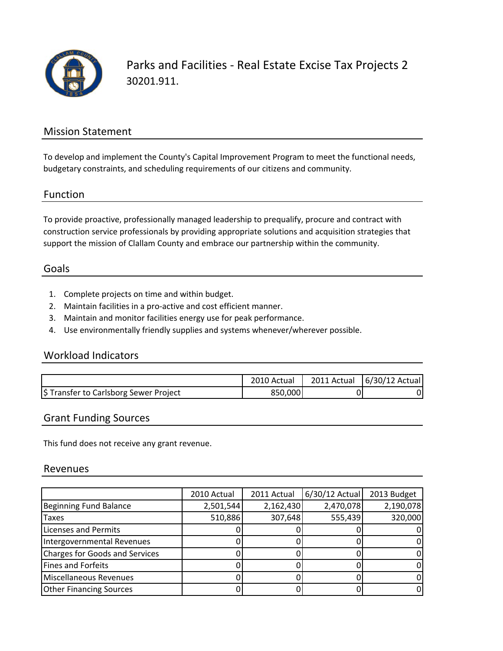

Parks and Facilities ‐ Real Estate Excise Tax Projects 2 30201.911.

## Mission Statement

To develop and implement the County's Capital Improvement Program to meet the functional needs, budgetary constraints, and scheduling requirements of our citizens and community.

#### Function

To provide proactive, professionally managed leadership to prequalify, procure and contract with construction service professionals by providing appropriate solutions and acquisition strategies that support the mission of Clallam County and embrace our partnership within the community.

#### Goals

- 1. Complete projects on time and within budget.
- 2. Maintain facilities in a pro‐active and cost efficient manner.
- 3. Maintain and monitor facilities energy use for peak performance.
- 4. Use environmentally friendly supplies and systems whenever/wherever possible.

### Workload Indicators

|                                        | 2010 Actual |    | 2011 Actual 6/30/12 Actual |
|----------------------------------------|-------------|----|----------------------------|
| \$ Transfer to Carlsborg Sewer Project | 850,000     | יכ |                            |

#### Grant Funding Sources

This fund does not receive any grant revenue.

#### Revenues

|                                       | 2010 Actual | 2011 Actual | 6/30/12 Actual | 2013 Budget |
|---------------------------------------|-------------|-------------|----------------|-------------|
| Beginning Fund Balance                | 2,501,544   | 2,162,430   | 2,470,078      | 2,190,078   |
| <b>Taxes</b>                          | 510,886     | 307,648     | 555,439        | 320,000     |
| <b>Licenses and Permits</b>           |             |             |                |             |
| Intergovernmental Revenues            |             |             |                |             |
| <b>Charges for Goods and Services</b> |             |             |                |             |
| <b>Fines and Forfeits</b>             |             |             |                |             |
| Miscellaneous Revenues                |             |             |                |             |
| <b>Other Financing Sources</b>        |             |             |                |             |